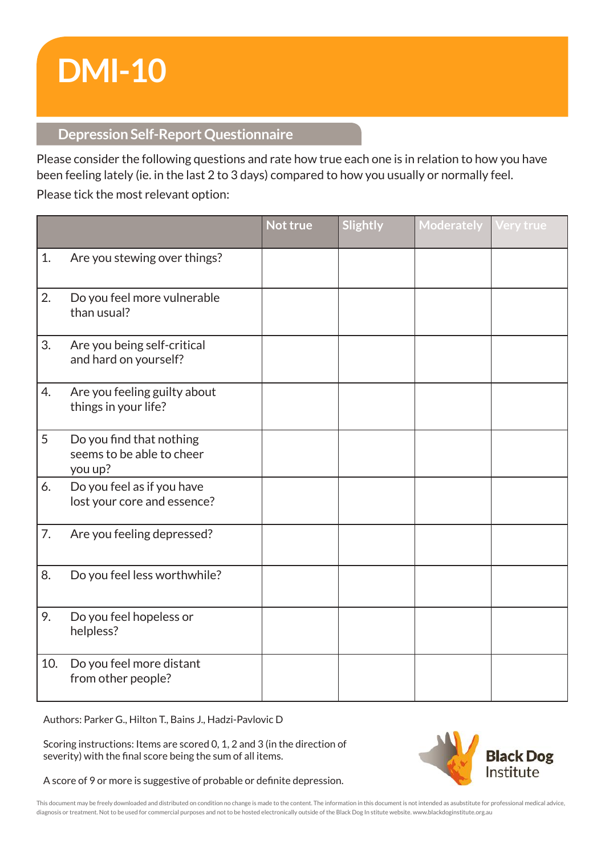# **DMI-10**

## **Depression Self-Report Questionnaire**

Please consider the following questions and rate how true each one is in relation to how you have been feeling lately (ie. in the last 2 to 3 days) compared to how you usually or normally feel. Please tick the most relevant option:

|     |                                                                  | Not true | Slightly | <b>Moderately</b> | Very true |
|-----|------------------------------------------------------------------|----------|----------|-------------------|-----------|
| 1.  | Are you stewing over things?                                     |          |          |                   |           |
| 2.  | Do you feel more vulnerable<br>than usual?                       |          |          |                   |           |
| 3.  | Are you being self-critical<br>and hard on yourself?             |          |          |                   |           |
| 4.  | Are you feeling guilty about<br>things in your life?             |          |          |                   |           |
| 5   | Do you find that nothing<br>seems to be able to cheer<br>you up? |          |          |                   |           |
| 6.  | Do you feel as if you have<br>lost your core and essence?        |          |          |                   |           |
| 7.  | Are you feeling depressed?                                       |          |          |                   |           |
| 8.  | Do you feel less worthwhile?                                     |          |          |                   |           |
| 9.  | Do you feel hopeless or<br>helpless?                             |          |          |                   |           |
| 10. | Do you feel more distant<br>from other people?                   |          |          |                   |           |

Authors: Parker G., Hilton T., Bains J., Hadzi-Pavlovic D

Scoring instructions: Items are scored 0, 1, 2 and 3 (in the direction of severity) with the final score being the sum of all items.

A score of 9 or more is suggestive of probable or definite depression.



This document may be freely downloaded and distributed on condition no change is made to the content. The information in this document is not intended as asubstitute for professional medical advice, diagnosis or treatment. Not to be used for commercial purposes and not to be hosted electronically outside of the Black Dog In stitute website. www.blackdoginstitute.org.au